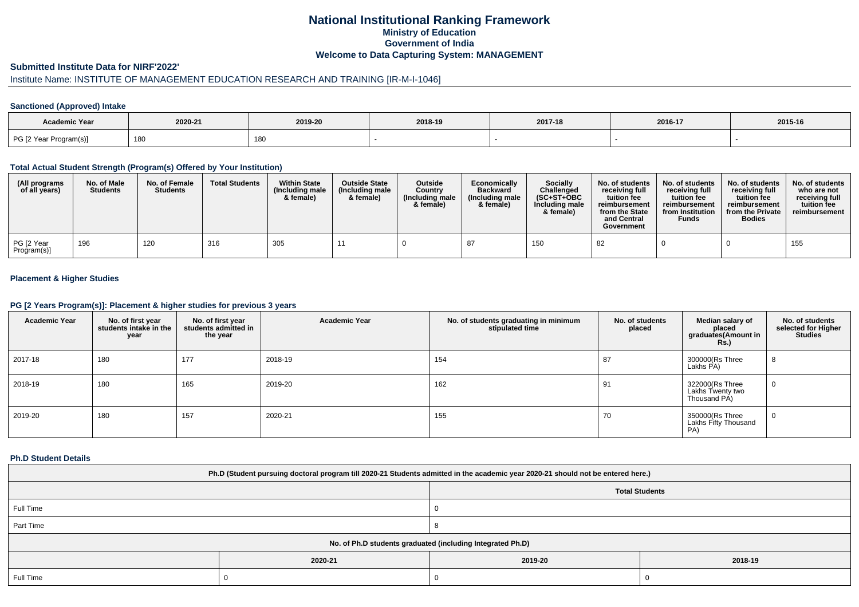## **National Institutional Ranking FrameworkMinistry of Education Government of IndiaWelcome to Data Capturing System: MANAGEMENT**

#### **Submitted Institute Data for NIRF'2022'**

# Institute Name: INSTITUTE OF MANAGEMENT EDUCATION RESEARCH AND TRAINING [IR-M-I-1046]

### **Sanctioned (Approved) Intake**

| Academic Year          |         |         |         |         |         |         |
|------------------------|---------|---------|---------|---------|---------|---------|
|                        | 2020-21 | 2019-20 | 2018-19 | 2017-18 | 2016-17 | 2015-16 |
| PG [2 Year Program(s)] | 180     | 180     |         |         |         |         |

#### **Total Actual Student Strength (Program(s) Offered by Your Institution)**

| (All programs<br>of all years) | No. of Male<br><b>Students</b> | No. of Female<br><b>Students</b> | <b>Total Students</b> | <b>Within State</b><br>(Including male<br>& female) | <b>Outside State</b><br>(Including male<br>& female) | <b>Outside</b><br>Country<br>(Including male<br>& female) | Economically<br><b>Backward</b><br>(Including male<br>& female) | Socially<br>Challenged<br>$(SC+ST+OBC$<br>Including male<br>& female) | No. of students<br>receivina full<br>tuition fee<br>reimbursement<br>from the State<br>and Central<br>Government | No. of students<br>receiving full<br>tuition fee<br>reimbursement<br>from Institution<br><b>Funds</b> | No. of students<br>receiving full<br>tuition fee<br>reimbursement<br>from the Private<br><b>Bodies</b> | No. of students<br>who are not<br>receiving full<br>tuition fee<br>reimbursement |
|--------------------------------|--------------------------------|----------------------------------|-----------------------|-----------------------------------------------------|------------------------------------------------------|-----------------------------------------------------------|-----------------------------------------------------------------|-----------------------------------------------------------------------|------------------------------------------------------------------------------------------------------------------|-------------------------------------------------------------------------------------------------------|--------------------------------------------------------------------------------------------------------|----------------------------------------------------------------------------------|
| PG [2 Year<br>Program(s)]      | 196                            | 120                              | 316                   | 305                                                 |                                                      |                                                           |                                                                 | 150                                                                   | 82                                                                                                               |                                                                                                       |                                                                                                        | 155                                                                              |

### **Placement & Higher Studies**

#### **PG [2 Years Program(s)]: Placement & higher studies for previous 3 years**

| <b>Academic Year</b> | No. of first year<br>students intake in the<br>year | No. of first year<br>students admitted in<br>the year | <b>Academic Year</b> | No. of students graduating in minimum<br>stipulated time | No. of students<br>placed | Median salary of<br>placed<br>graduates(Amount in<br><b>Rs.)</b> | No. of students<br>selected for Higher<br><b>Studies</b> |
|----------------------|-----------------------------------------------------|-------------------------------------------------------|----------------------|----------------------------------------------------------|---------------------------|------------------------------------------------------------------|----------------------------------------------------------|
| 2017-18              | 180                                                 | 177                                                   | 2018-19              | 154                                                      | 87                        | 300000(Rs Three<br>Lakhs PA)                                     | 8                                                        |
| 2018-19              | 180                                                 | 165                                                   | 2019-20              | 162                                                      | 91                        | 322000(Rs Three<br>Lakhs Twenty two<br>Thousand PÁ)              | 0                                                        |
| 2019-20              | 180                                                 | 157                                                   | 2020-21              | 155                                                      | 70                        | 350000(Rs Three<br>Lakhs Fifty Thousand<br>PA)                   | 0                                                        |

#### **Ph.D Student Details**

| Ph.D (Student pursuing doctoral program till 2020-21 Students admitted in the academic year 2020-21 should not be entered here.) |         |                       |         |  |  |  |
|----------------------------------------------------------------------------------------------------------------------------------|---------|-----------------------|---------|--|--|--|
|                                                                                                                                  |         | <b>Total Students</b> |         |  |  |  |
| Full Time                                                                                                                        |         |                       |         |  |  |  |
| Part Time                                                                                                                        |         |                       |         |  |  |  |
| No. of Ph.D students graduated (including Integrated Ph.D)                                                                       |         |                       |         |  |  |  |
|                                                                                                                                  | 2020-21 | 2019-20               | 2018-19 |  |  |  |
| Full Time                                                                                                                        |         |                       |         |  |  |  |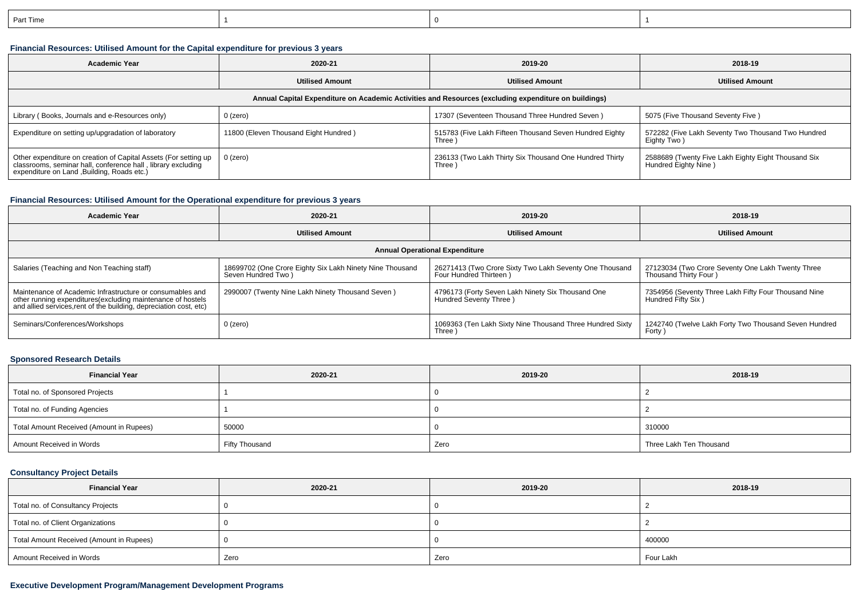| Part Time |  |  |
|-----------|--|--|
|           |  |  |

## **Financial Resources: Utilised Amount for the Capital expenditure for previous 3 years**

| <b>Academic Year</b>                                                                                                                                                           | 2020-21                               |                                                                    | 2018-19                                                                     |  |  |  |  |  |
|--------------------------------------------------------------------------------------------------------------------------------------------------------------------------------|---------------------------------------|--------------------------------------------------------------------|-----------------------------------------------------------------------------|--|--|--|--|--|
|                                                                                                                                                                                | <b>Utilised Amount</b>                | <b>Utilised Amount</b>                                             |                                                                             |  |  |  |  |  |
| Annual Capital Expenditure on Academic Activities and Resources (excluding expenditure on buildings)                                                                           |                                       |                                                                    |                                                                             |  |  |  |  |  |
| Library (Books, Journals and e-Resources only)                                                                                                                                 | $0$ (zero)                            | 17307 (Seventeen Thousand Three Hundred Seven)                     | 5075 (Five Thousand Seventy Five)                                           |  |  |  |  |  |
| Expenditure on setting up/upgradation of laboratory                                                                                                                            | 11800 (Eleven Thousand Eight Hundred) | 515783 (Five Lakh Fifteen Thousand Seven Hundred Eighty<br>Three ) | 572282 (Five Lakh Seventy Two Thousand Two Hundred<br>Eighty Two)           |  |  |  |  |  |
| Other expenditure on creation of Capital Assets (For setting up<br>classrooms, seminar hall, conference hall, library excluding<br>expenditure on Land , Building, Roads etc.) | 0 (zero)                              | 236133 (Two Lakh Thirty Six Thousand One Hundred Thirty<br>Three)  | 2588689 (Twenty Five Lakh Eighty Eight Thousand Six<br>Hundred Eighty Nine) |  |  |  |  |  |

### **Financial Resources: Utilised Amount for the Operational expenditure for previous 3 years**

| <b>Academic Year</b>                                                                                                                                                                            | 2020-21                                                                        | 2019-20                                                                           | 2018-19                                                                                  |  |  |  |  |
|-------------------------------------------------------------------------------------------------------------------------------------------------------------------------------------------------|--------------------------------------------------------------------------------|-----------------------------------------------------------------------------------|------------------------------------------------------------------------------------------|--|--|--|--|
|                                                                                                                                                                                                 | <b>Utilised Amount</b>                                                         | <b>Utilised Amount</b>                                                            | <b>Utilised Amount</b>                                                                   |  |  |  |  |
| <b>Annual Operational Expenditure</b>                                                                                                                                                           |                                                                                |                                                                                   |                                                                                          |  |  |  |  |
| Salaries (Teaching and Non Teaching staff)                                                                                                                                                      | 18699702 (One Crore Eighty Six Lakh Ninety Nine Thousand<br>Seven Hundred Two) | 26271413 (Two Crore Sixty Two Lakh Seventy One Thousand<br>Four Hundred Thirteen) | 27123034 (Two Crore Seventy One Lakh Twenty Three<br>Thousand Thirty Four )              |  |  |  |  |
| Maintenance of Academic Infrastructure or consumables and<br>other running expenditures (excluding maintenance of hostels<br>and allied services, rent of the building, depreciation cost, etc) | 2990007 (Twenty Nine Lakh Ninety Thousand Seven)                               | 4796173 (Forty Seven Lakh Ninety Six Thousand One<br>Hundred Seventy Three)       | 7354956 (Seventy Three Lakh Fifty Four Thousand Nine<br>Hundred Fifty Six <sup>1</sup> ) |  |  |  |  |
| Seminars/Conferences/Workshops                                                                                                                                                                  | $0$ (zero)                                                                     | 1069363 (Ten Lakh Sixty Nine Thousand Three Hundred Sixty<br>Three                | 1242740 (Twelve Lakh Forty Two Thousand Seven Hundred<br>Forty                           |  |  |  |  |

## **Sponsored Research Details**

| <b>Financial Year</b>                    | 2020-21        | 2019-20 | 2018-19                 |
|------------------------------------------|----------------|---------|-------------------------|
| Total no. of Sponsored Projects          |                |         |                         |
| Total no. of Funding Agencies            |                |         |                         |
| Total Amount Received (Amount in Rupees) | 50000          |         | 310000                  |
| Amount Received in Words                 | Fifty Thousand | Zero    | Three Lakh Ten Thousand |

### **Consultancy Project Details**

| <b>Financial Year</b>                    | 2020-21 | 2019-20 | 2018-19   |
|------------------------------------------|---------|---------|-----------|
| Total no. of Consultancy Projects        |         |         |           |
| Total no. of Client Organizations        |         |         |           |
| Total Amount Received (Amount in Rupees) |         |         | 400000    |
| Amount Received in Words                 | Zero    | Zero    | Four Lakh |

## **Executive Development Program/Management Development Programs**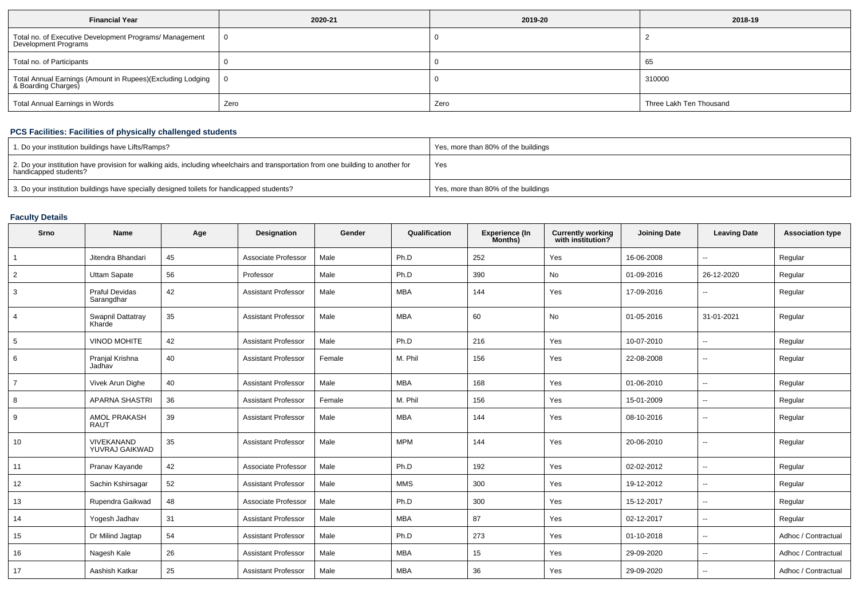| <b>Financial Year</b>                                                             | 2020-21 | 2019-20 | 2018-19                 |  |
|-----------------------------------------------------------------------------------|---------|---------|-------------------------|--|
| Total no. of Executive Development Programs/ Management<br>Development Programs   |         |         |                         |  |
| Total no. of Participants                                                         |         |         | 65                      |  |
| Total Annual Earnings (Amount in Rupees)(Excluding Lodging<br>& Boarding Charges) |         |         | 310000                  |  |
| Total Annual Earnings in Words                                                    | Zero    | Zero    | Three Lakh Ten Thousand |  |

## **PCS Facilities: Facilities of physically challenged students**

| 1. Do your institution buildings have Lifts/Ramps?                                                                                                         | Yes, more than 80% of the buildings |
|------------------------------------------------------------------------------------------------------------------------------------------------------------|-------------------------------------|
| 2. Do your institution have provision for walking aids, including wheelchairs and transportation from one building to another for<br>handicapped students? | Yes                                 |
| 3. Do your institution buildings have specially designed toilets for handicapped students?                                                                 | Yes, more than 80% of the buildings |

# **Faculty Details**

| Srno           | <b>Name</b>                         | Age | Designation                | Gender | Qualification | <b>Experience (In</b><br>Months) | <b>Currently working</b><br>with institution? | <b>Joining Date</b> | <b>Leaving Date</b>      | <b>Association type</b> |
|----------------|-------------------------------------|-----|----------------------------|--------|---------------|----------------------------------|-----------------------------------------------|---------------------|--------------------------|-------------------------|
|                | Jitendra Bhandari                   | 45  | Associate Professor        | Male   | Ph.D          | 252                              | Yes                                           | 16-06-2008          |                          | Regular                 |
| $\overline{2}$ | Uttam Sapate                        | 56  | Professor                  | Male   | Ph.D          | 390                              | No                                            | 01-09-2016          | 26-12-2020               | Regular                 |
| 3              | <b>Praful Devidas</b><br>Sarangdhar | 42  | <b>Assistant Professor</b> | Male   | <b>MBA</b>    | 144                              | Yes                                           | 17-09-2016          | $\overline{\phantom{a}}$ | Regular                 |
| 4              | Swapnil Dattatray<br>Kharde         | 35  | <b>Assistant Professor</b> | Male   | <b>MBA</b>    | 60                               | No                                            | 01-05-2016          | 31-01-2021               | Regular                 |
| 5              | VINOD MOHITE                        | 42  | <b>Assistant Professor</b> | Male   | Ph.D          | 216                              | Yes                                           | 10-07-2010          | $\overline{\phantom{a}}$ | Regular                 |
| 6              | Pranjal Krishna<br>Jadhav           | 40  | <b>Assistant Professor</b> | Female | M. Phil       | 156                              | Yes                                           | 22-08-2008          | $\overline{\phantom{a}}$ | Regular                 |
| $\overline{7}$ | Vivek Arun Dighe                    | 40  | <b>Assistant Professor</b> | Male   | <b>MBA</b>    | 168                              | Yes                                           | 01-06-2010          | $\sim$                   | Regular                 |
| 8              | <b>APARNA SHASTRI</b>               | 36  | <b>Assistant Professor</b> | Female | M. Phil       | 156                              | Yes                                           | 15-01-2009          | $\overline{\phantom{a}}$ | Regular                 |
| 9              | <b>AMOL PRAKASH</b><br><b>RAUT</b>  | 39  | <b>Assistant Professor</b> | Male   | <b>MBA</b>    | 144                              | Yes                                           | 08-10-2016          | $\overline{\phantom{a}}$ | Regular                 |
| 10             | VIVEKANAND<br>YUVRAJ GAIKWAD        | 35  | <b>Assistant Professor</b> | Male   | <b>MPM</b>    | 144                              | Yes                                           | 20-06-2010          | $\overline{\phantom{a}}$ | Regular                 |
| 11             | Pranav Kayande                      | 42  | Associate Professor        | Male   | Ph.D          | 192                              | Yes                                           | 02-02-2012          | $\overline{\phantom{a}}$ | Regular                 |
| 12             | Sachin Kshirsagar                   | 52  | <b>Assistant Professor</b> | Male   | <b>MMS</b>    | 300                              | Yes                                           | 19-12-2012          | $\overline{\phantom{a}}$ | Regular                 |
| 13             | Rupendra Gaikwad                    | 48  | Associate Professor        | Male   | Ph.D          | 300                              | Yes                                           | 15-12-2017          | $\overline{\phantom{a}}$ | Regular                 |
| 14             | Yogesh Jadhav                       | 31  | <b>Assistant Professor</b> | Male   | <b>MBA</b>    | 87                               | Yes                                           | 02-12-2017          | $\overline{\phantom{a}}$ | Regular                 |
| 15             | Dr Milind Jagtap                    | 54  | <b>Assistant Professor</b> | Male   | Ph.D          | 273                              | Yes                                           | 01-10-2018          | $\overline{\phantom{a}}$ | Adhoc / Contractual     |
| 16             | Nagesh Kale                         | 26  | <b>Assistant Professor</b> | Male   | <b>MBA</b>    | 15                               | Yes                                           | 29-09-2020          | $\sim$                   | Adhoc / Contractual     |
| 17             | Aashish Katkar                      | 25  | <b>Assistant Professor</b> | Male   | <b>MBA</b>    | 36                               | Yes                                           | 29-09-2020          | $\overline{\phantom{a}}$ | Adhoc / Contractual     |